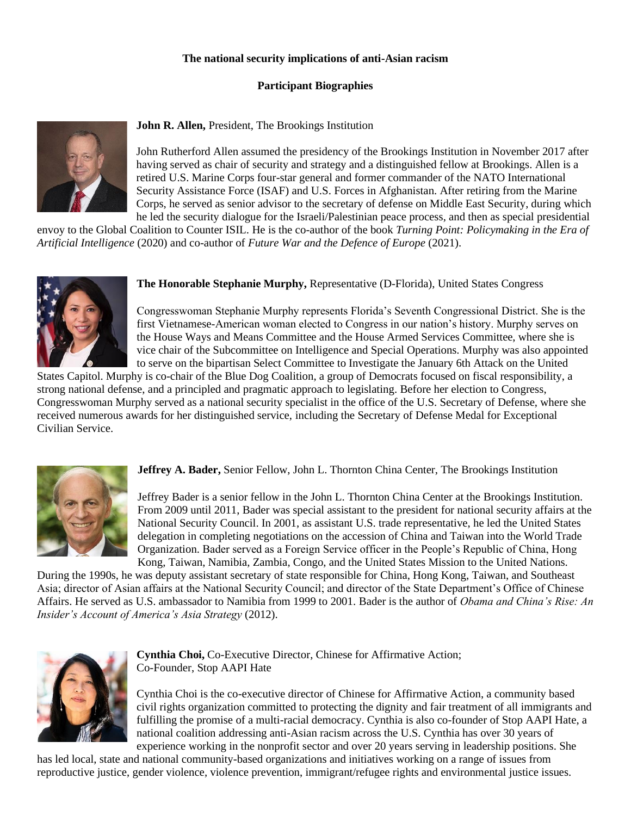## **The national security implications of anti-Asian racism**

## **Participant Biographies**



**John R. Allen,** President, The Brookings Institution

John Rutherford Allen assumed the presidency of the Brookings Institution in November 2017 after having served as chair of security and strategy and a distinguished fellow at Brookings. Allen is a retired U.S. Marine Corps four-star general and former commander of the NATO International Security Assistance Force (ISAF) and U.S. Forces in Afghanistan. After retiring from the Marine Corps, he served as senior advisor to the secretary of defense on Middle East Security, during which he led the security dialogue for the Israeli/Palestinian peace process, and then as special presidential

envoy to the Global Coalition to Counter ISIL. He is the co-author of the book *Turning Point: Policymaking in the Era of Artificial Intelligence* (2020) and co-author of *Future War and the Defence of Europe* (2021).



**The Honorable Stephanie Murphy,** Representative (D-Florida), United States Congress

Congresswoman Stephanie Murphy represents Florida's Seventh Congressional District. She is the first Vietnamese-American woman elected to Congress in our nation's history. Murphy serves on the House Ways and Means Committee and the House Armed Services Committee, where she is vice chair of the Subcommittee on Intelligence and Special Operations. Murphy was also appointed to serve on the bipartisan Select Committee to Investigate the January 6th Attack on the United

States Capitol. Murphy is co-chair of the Blue Dog Coalition, a group of Democrats focused on fiscal responsibility, a strong national defense, and a principled and pragmatic approach to legislating. Before her election to Congress, Congresswoman Murphy served as a national security specialist in the office of the U.S. Secretary of Defense, where she received numerous awards for her distinguished service, including the Secretary of Defense Medal for Exceptional Civilian Service.



**Jeffrey A. Bader,** Senior Fellow, John L. Thornton China Center, The Brookings Institution

Jeffrey Bader is a senior fellow in the John L. Thornton China Center at the Brookings Institution. From 2009 until 2011, Bader was special assistant to the president for national security affairs at the National Security Council. In 2001, as assistant U.S. trade representative, he led the United States delegation in completing negotiations on the accession of China and Taiwan into the World Trade Organization. Bader served as a Foreign Service officer in the People's Republic of China, Hong Kong, Taiwan, Namibia, Zambia, Congo, and the United States Mission to the United Nations.

During the 1990s, he was deputy assistant secretary of state responsible for China, Hong Kong, Taiwan, and Southeast Asia; director of Asian affairs at the National Security Council; and director of the State Department's Office of Chinese Affairs. He served as U.S. ambassador to Namibia from 1999 to 2001. Bader is the author of *Obama and China's Rise: An Insider's Account of America's Asia Strategy* (2012).



**Cynthia Choi,** Co-Executive Director, Chinese for Affirmative Action; Co-Founder, Stop AAPI Hate

Cynthia Choi is the co-executive director of Chinese for Affirmative Action, a community based civil rights organization committed to protecting the dignity and fair treatment of all immigrants and fulfilling the promise of a multi-racial democracy. Cynthia is also co-founder of Stop AAPI Hate, a national coalition addressing anti-Asian racism across the U.S. Cynthia has over 30 years of experience working in the nonprofit sector and over 20 years serving in leadership positions. She

has led local, state and national community-based organizations and initiatives working on a range of issues from reproductive justice, gender violence, violence prevention, immigrant/refugee rights and environmental justice issues.